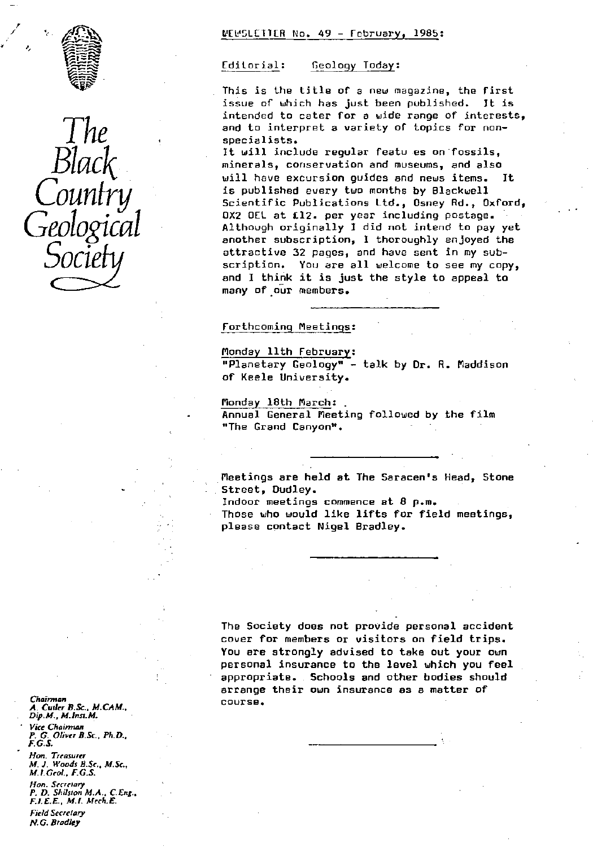



NEWSLETTER No. 49 - February, 1985:

#### Editorial: Geology Today:

This is the title of a new magazine, the first<br>issue of which has just been published. It is issue of which has just been published. intended to cater for a wide range of interests, and to interpret a variety of topics for nonspecialists.

It will include regular featu es on fossils, minerals, conservation and museums, and also will have excursion guides and news items. It is published every two months by Blackwell Scientific Publications Ltd., Osney Rd., Oxford, OX2 OEL at fl2. per year including postage. Although originally I did not intend to pay yet another subscription, I thoroughly enjoyed the attractive 32 pages, and have sent in my subscription. You are all welcome to see my copy, and I think it is just the style to appeal to many of our members.

# Forthcoming Meetings:

Monday 11th February : "Planetary Geology" - talk by dr. R. Maddison of Keele University.

Monday 18th March: Annual General Meeting followed by the film "The Grand Canyon".

Meetings are held at The Saracen's Head, Stone Street, Dudley.

Indoor meetings commence at 8 p.m. Those who would like lifts for field meetings, please contact Nigel Bradley.

The Society does not provide personal accident cover for members or visitors on field trips. You are strongly advised to take out your own personal insurance to the level which you feel appropriate.. Schools and other bodies should arrange their own insurance as a matter of course.

Chairman *A. Culler* B.Sc., *M.CAM., Dfp.M., M.lnsr.M. Vice* Chainnan *P. G. Oliver* B.Sc., Ph.D.. *F. G.S* Hon. Treasurer *M. J. Woods* B.Sc., *M.Sc., M.l.Ceol., F.G.S.*

lion. Secrerary *P.* D. Shilsion M.A., *C.* J. *ng.. F.l.E.E., M.I.* Mrch.E. Field Secretary *N.G. Bradley*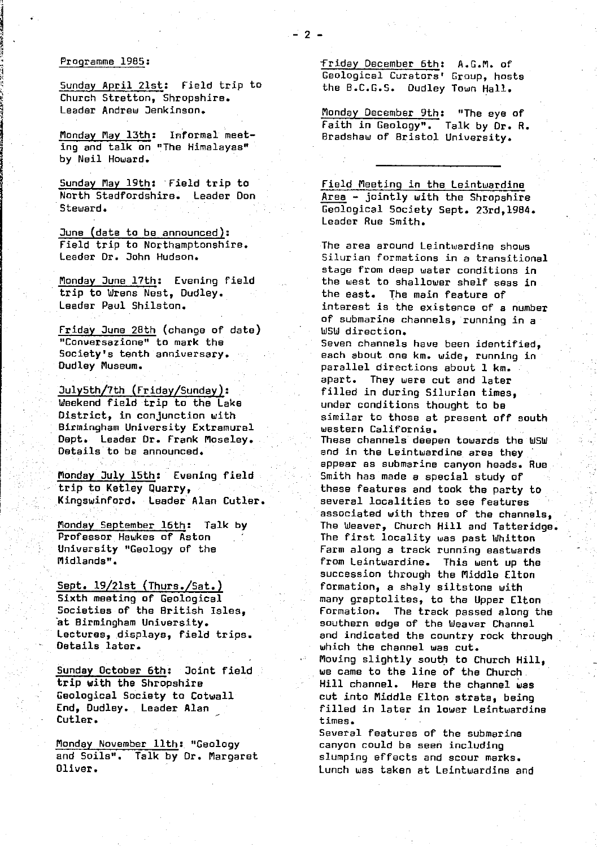#### Programme 1985 :

Sunday April 21st: Field trip to Church Stratton, Shropshire. Leader Andrew Jenkinson.

Monday May 13th: Informal meeting and talk on "The Himalayas" by Neil Howard.

Sunday May 19th: Field trip to North Stadfordshire, Leader Don Steward.

June (date to be announced): Field trip to Northamptonshire. Leader Dr. John Hudson.

Monday June 17th: Evening field trip to Wrens Nest, Dudley. Leader Paul Shilston.

Friday June 28th (change of date) "Conversazione" to mark the Society's tenth anniversary. Dudley Museum.

July5th/7th (Friday/Sunday): Weekend field trip to the Lake District, in conjunction with Birmingham University Extramural Dept. Leader Dr. Frank Moseley.. Details to be announced.

Monday July 15th: Evening field trip to Ketley Quarry, Kingswinford. Leader Alan Cutler.

Monday September 16th: Talk by Professor Hawkes of Aston University "Geology of the Midlands".

Sept. 19/21st (Thurs./Sat.) Sixth meeting of Geological • Societies of the British Isles, at Birmingham University. Lectures, displays, field trips. Details later.

Sunday October 6th: Joint field trip with the Shropshire Geological Society to Cotwall End, Dudley. Leader Alan Cutler.

Monday November 11th: "Geology and Soils". Talk by Dr. Margaret Oliver.

friday December 6th: A.G.M. of Geological Curators' Group, hosts the B.C.G.S. Dudley Town Hall.

Monday December 9th: "The eye of Faith in Geology". Talk by Dr. R. Bradshaw of Bristol University.

Field Meeting in the Leintwardine Area - jointly with the Shropshire Geological Society Sept. 23rd,1984. Leader Rue Smith.

The area around Leintwardine shows Silurian formations in a transitional stage from deep water conditions in the west to shallower shelf seas in the east. The main feature of interest is the existence of a number of submarine channels, running in a WSW direction. Seven channels have been identified, each about onekm. *wide,* running in parallel directions about 1 km. apart. They were cut and later filled in during Silurian times, under conditions thought to be similar to those at present off south western California. These channels deepen towards the WSW and in the Leintwardine area they appear as submarine canyon heads. Rue Smith has made a special study of these features and took the party to several localities to see features associated with three of the channels, The Weaver, Church Hill and Tatteridge. The first locality was past Whitton Farm along a track running eastwards from Leintwardine. This went up the succession through the Middle Elton formation, a shaly siltstone with many graptolites, to the Upper Elton Formation. The track passed along the southern edge of the Weaver Channel and indicated the country rock through which the channel was cut. Moving slightly south to Church Hill, we came to the line of the Church. Hill channel. Here the channel was cut into Middle Elton strata, being filled in later in lower Leintwardine times. Several features of *the* submarine

canyon could be seen including slumping effects and scour marks. Lunch was taken at Leintwardine and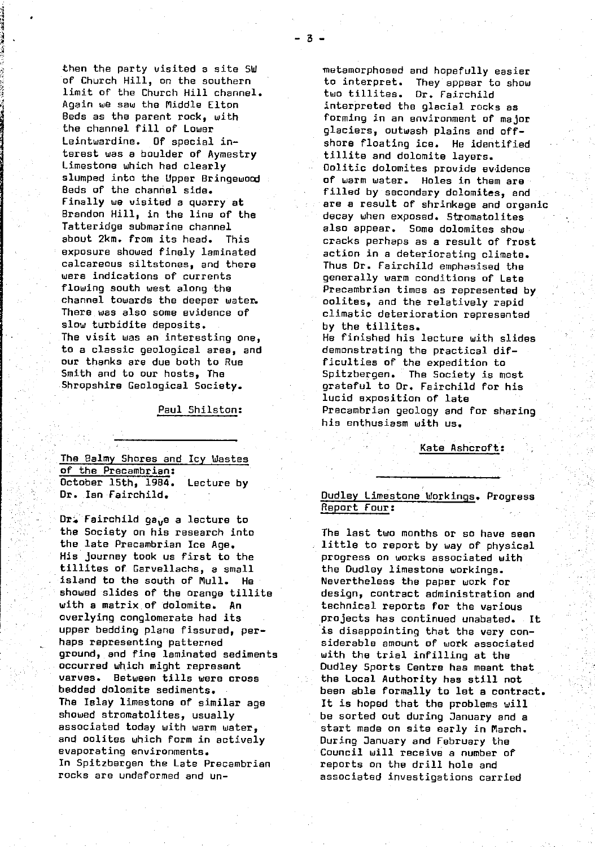then the party visited a site SW of Church Hill, on the southern limit of the Church Hill channel. Again we saw the Middle Elton Beds as the parent rock, with the channel fill of Lower Leintwardine. Of special interest was a boulder of Aymestry Limestone which had clearly slumped into the Upper Bringewood Beds of the channel side. Finally we visited a quarry at Brandon Hill, in the line of the Tatteridge submarine channel about 2km. from its head. This exposure showed finely laminated calcareous siltstones, and there were indications of currents flowing south west along the channel towards the deeper water. There. was also some evidence of slow turbidite deposits. The visit was an interesting one, to a classic geological area, and our thanks are due both to Rue Smith and to our hosts, The Shropshire Geological Society.

Paul Shilston:

The Balmy Shares and Icy Wastes of the Precambrian: October 15th, 1984. Lecture by Dr. Ian Fairchild.

•

Dr. Fairchild gave a lecture to the Society on his research into the late Precambrian Ice Age. His journey took us first to the tillites of Garvellachs, a small island to the south of Mull. He showed slides of the orange tillite with a matrix of dolomite. An overlying conglomerate had its upper bedding plane fissured, perhaps representing patterned ground, and fine laminated sediments occurred which might represent varves. Between tills were cross bedded dolomite sediments. The Islay limestone of similar age showed stromatolites, usually associated today with warm water, and oalites which form in actively evaporating environments. In Spitzbergen the Late Precambrian rocks are undeformed and un-metamorphosed and hopefully easier to interpret. They appear to show two tillites. Dr. Fairchild interpreted the glacial rocks as forming in an environment of major glaciers, outwash plains and offshore floating ice. He identified tillite and dolomite layers. Oolitic dolomites provide evidence of warm water. Holes in them are filled by secondary dolomites, and are a result of shrinkage and organic decay when exposed. Stromatalites also appear. Some dolomites show cracks perhaps as a result of frost action in a deteriorating climate. Thus Dr. Fairchild emphasised the generally warm conditions of Late Precambrian times as represented by oolites, and the relatively rapid climatic deterioration represented • by the tillites. • He finished his lecture with slides demonstrating the practical difficulties of the expedition to Spitzbergen. The Society is most grateful to Dr. Fairchild for his lucid exposition of late Precambrian geology and for sharing

Kate Ashcroft:

# Dudley Limestone Workings. Progress Report Four:

his enthusiasm with us.

The last two months or so have seen little to report by way of physical progress on works associated with the Dudley limestone workings. Nevertheless the paper work for design, contract administration and technical reports for the various projects has continued unabated. It is disappointing that the very considerable amount of work associated with the trial infilling at the Dudley Sports Centre has meant that the Local Authority has still not been able formally to let a contract. It is hoped that the problems will be sorted out during January and a start made on site early in March. During January and February the Council will receive a number of reports on the drill hole and associated investigations carried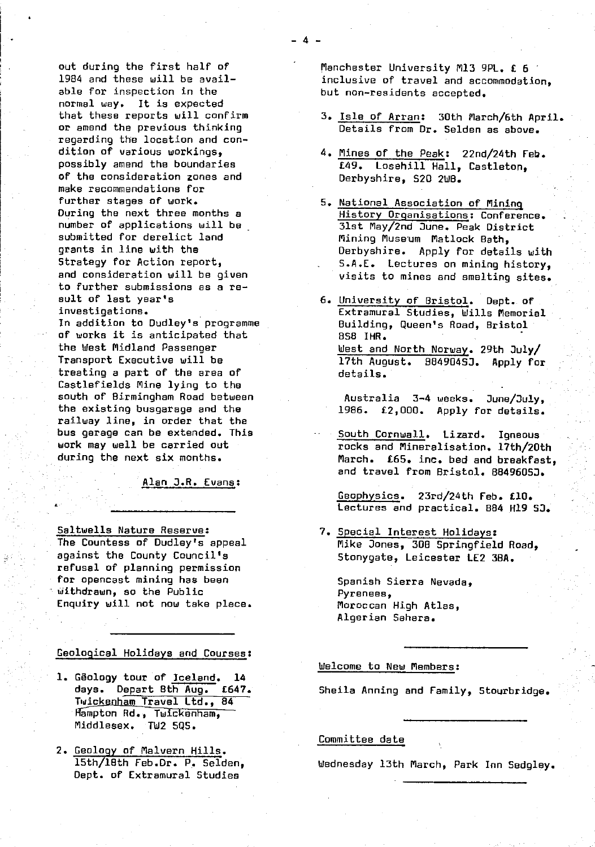normal way. It is expected<br>that these reports will confirm regarding the location and con-<br>dition of various workings. of the consideration zones and make recommendations for<br>further stapes of work. further stages of work.<br>19 5. National Association of Mining<br>19 History Droanisations: Conferer submitted for derelict land Alining Museum Matlock Bath, to further submissions as a re-<br>sult of last year's

۴.

of works it is anticipated that<br>the West Midland Passenger  $t$ reating a part of the area of  $dt$  details. Castlefields Mine lying to the<br>south of Birmingham Road between railway line, in order that the bus garage can be extended. This - South Cornwall . Lizard. Igneous

Alan J.R. Evans:

Saltwells Nature Reserve:<br>The Countess of Dudley's appeal **7.** Special Interest Holidays:<br>Mike Jones, 308 Springfield refusal of planning permission for opencast mining has been substituted Spanish Sierra Nevada, withdrawn, so the Public withdrawn, so the Public Enquiry will not now take place. Moroccan High Atlas,

Geological Holidays and Courses:

- 1. Geology tour of Iceland. 14<br>days. Depart 8th Aug. 1647. Twickenham Travel Ltd., 84 Hampton Rd., Twickenham, Middlesex. TW2 5Q5.
- 2. Geology of Malvern Hills . Dept. of Extramural Studies

out during the first half of Manchester University M13 9PL. £ 6<br>1984 and these will be avail- The Manchester of travel and accommodation 1984 and these will be avail-<br>able for inspection in the  $\qquad \qquad$  but non-residents accented. but non-residents accepted.

- that these reports will confirm  $\frac{3}{2}$ . Isle of Arran: 30th March/6th April.<br>Or amend the previous thinking  $\frac{3}{2}$ . Details from Dr. Selden as above. Details from Dr. Selden as above.
- dition of various workings,  $\frac{4}{10}$ . Mines of the Peak: 22nd/24th Feb.<br>possibly amend the boundaries  $\frac{49}{10}$ . Losebill Hall, Castleton. £49. Losehill Hall, Castleton,<br>Derbyshire. 520 2WB.
- During the next three months a<br>number of applications will be a History Organisations: Conference. number of applications will be \_ 31st May/2nd June. Peak District grants in line with the derivative of the Derbyshire. Apply for details with strategy for Action report, Strategy for Action report,<br>and consideration will be given in the system of prince and empling sites. visits to mines and smelting sites.
- sult of last year's 6. University of Bristol. Dept. of investigations.<br>In addition to Dudley's programme and Building. Queen's Road, Bristol Building, Queen's Road, Bristol<br>BS8 IHR. the West Midland Passenger West and North Norway. 29th July/<br>Transport Executive will be West Rigger (1998). 29th July In addition to Dudley's programme<br>
of works it is anticipated that<br>
the West Midland Passenger<br>
Transport Executive will be 17th August. 984904SJ. Apply for<br>
treating a part of the area of details.

south of Birmingham Road between Australia 3-4 weeks. June/July,<br>the existing busgarage and the 1986. £2.000. Apply for details. 1986.  $£2,000.$  Apply for details.

work may well be carried out rocks and Mineralisation, 17th/20th<br>during the next six months, when the March, f65, inc, hed and breakfast March. £65. inc. bed and breakfast. and travel from Bristol. 88496050.

> Geophysics. 23rd/24th Feb. £10. Lectures and practical. 884 H19 53.

The Countess of Dudley's appeal  $\overline{M}$  Mike Jones, 308 Springfield Road, against the County Council's  $\overline{M}$  Stonynate. Leicester LF2 3BA. Stonygate, Leicester LE2 3BA.

• Algerian Sahara.

#### Welcome to New Members :

Sheila Anning and Family, Stourbridge.

## Committee date

15th/16th Feb.Dr. P. Selden, Wednesday 13th March, Park Inn Sedgley.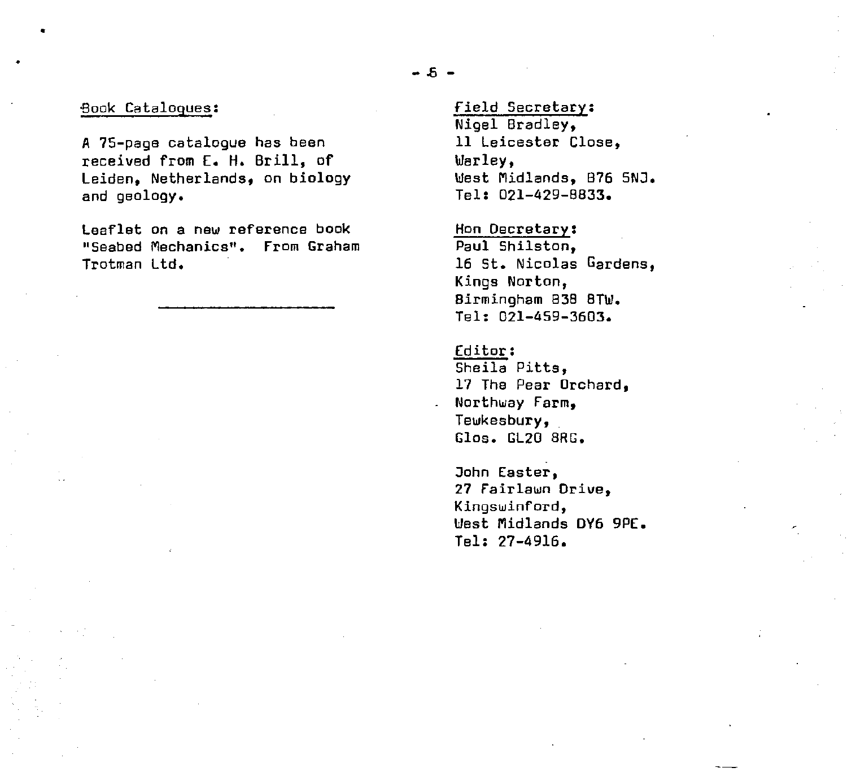#### -Book Catalogues :

A 75-page catalogue has been received from E. H. Brill, of Leiden, Netherlands, on biology and geology.

Leaflet on a new reference book "Seabed Mechanics". From Graham Trotman Ltd.

field Secretary : Nigel Bradley, 11 Leicester Close, War 1ey, West Midlands, B76 5NJ. Tel: 021-429-8833.

Hon Decretary : Paul Shilston, 16 St. Nicolas Gardens, Kings Norton, Birmingham 838 8TW. Tel: 021-459-3603.

Editor: Sheila Pitts, 17 The Pear Orchard, Northway Farm. Tewkesbury,. Glos. GL20 SRG.

John Easter, 27 Fairlawn Drive, Kingswinford, West Midlands DY6 9PE. Tel: 27-4916.